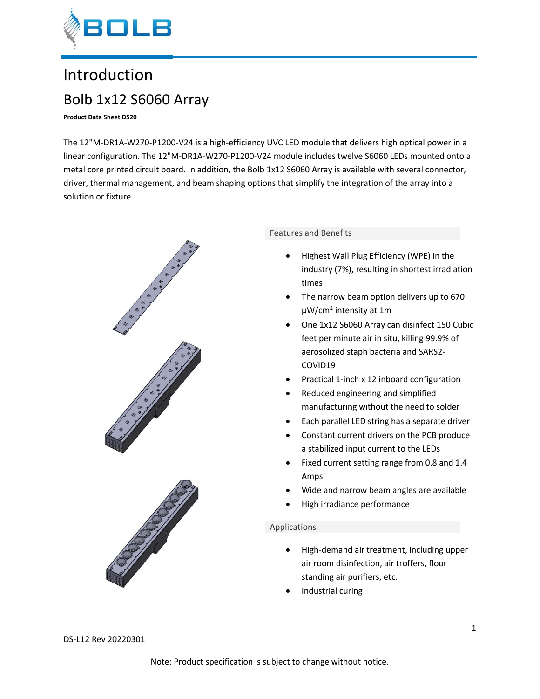

# Introduction Bolb 1x12 S6060 Array

**Product Data Sheet DS20**

The 12"M-DR1A-W270-P1200-V24 is a high-efficiency UVC LED module that delivers high optical power in a linear configuration. The 12"M-DR1A-W270-P1200-V24 module includes twelve S6060 LEDs mounted onto a metal core printed circuit board. In addition, the Bolb 1x12 S6060 Array is available with several connector, driver, thermal management, and beam shaping options that simplify the integration of the array into a solution or fixture.



### Features and Benefits

- Highest Wall Plug Efficiency (WPE) in the industry (7%), resulting in shortest irradiation times
- The narrow beam option delivers up to 670 µW/cm² intensity at 1m
- One 1x12 S6060 Array can disinfect 150 Cubic feet per minute air in situ, killing 99.9% of aerosolized staph bacteria and SARS2- COVID19
- Practical 1-inch x 12 inboard configuration
- Reduced engineering and simplified manufacturing without the need to solder
- Each parallel LED string has a separate driver
- Constant current drivers on the PCB produce a stabilized input current to the LEDs
- Fixed current setting range from 0.8 and 1.4 Amps
- Wide and narrow beam angles are available
- High irradiance performance

### Applications

- High-demand air treatment, including upper air room disinfection, air troffers, floor standing air purifiers, etc.
- Industrial curing

DS-L12 Rev 20220301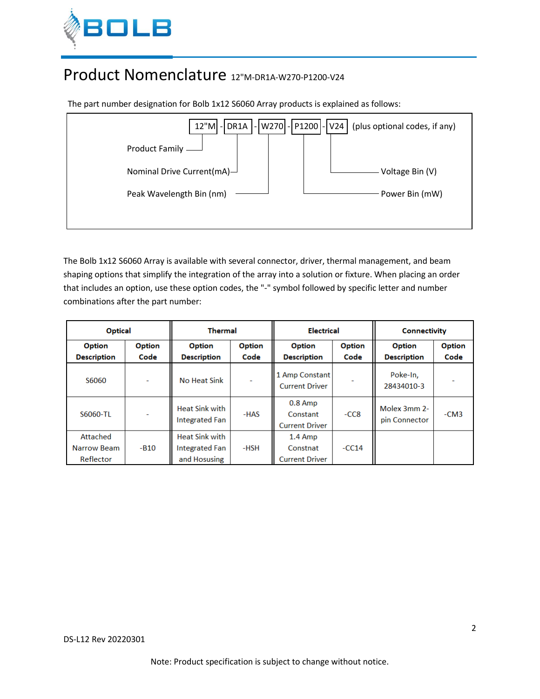

## Product Nomenclature 12"M-DR1A-W270-P1200-V24

The part number designation for Bolb 1x12 S6060 Array products is explained as follows:

| W270  -  P1200   -  V24  <br>$12"M$ -<br>DR <sub>1</sub> A<br>(plus optional codes, if any)<br>- 1 |                 |  |  |  |  |  |
|----------------------------------------------------------------------------------------------------|-----------------|--|--|--|--|--|
|                                                                                                    |                 |  |  |  |  |  |
| Nominal Drive Current $(mA)$ <sup>-1</sup>                                                         | Voltage Bin (V) |  |  |  |  |  |
| Peak Wavelength Bin (nm)                                                                           | Power Bin (mW)  |  |  |  |  |  |
|                                                                                                    |                 |  |  |  |  |  |

The Bolb 1x12 S6060 Array is available with several connector, driver, thermal management, and beam shaping options that simplify the integration of the array into a solution or fixture. When placing an order that includes an option, use these option codes, the "-" symbol followed by specific letter and number combinations after the part number:

| <b>Optical</b>                       |        | <b>Thermal</b><br><b>Electrical</b>                            |               |                                                | Connectivity  |                               |               |
|--------------------------------------|--------|----------------------------------------------------------------|---------------|------------------------------------------------|---------------|-------------------------------|---------------|
| <b>Option</b>                        | Option | <b>Option</b>                                                  | <b>Option</b> | <b>Option</b>                                  | <b>Option</b> | Option                        | <b>Option</b> |
| <b>Description</b>                   | Code   | <b>Description</b>                                             | Code          | <b>Description</b>                             | Code          | <b>Description</b>            | Code          |
| S6060                                | ۰      | No Heat Sink                                                   | ٠             | 1 Amp Constant<br><b>Current Driver</b>        |               | Poke-In,<br>28434010-3        |               |
| S6060-TL                             | ۰      | <b>Heat Sink with</b><br><b>Integrated Fan</b>                 | -HAS          | $0.8$ Amp<br>Constant<br><b>Current Driver</b> | $-CC8$        | Molex 3mm 2-<br>pin Connector | $-CM3$        |
| Attached<br>Narrow Beam<br>Reflector | $-B10$ | <b>Heat Sink with</b><br><b>Integrated Fan</b><br>and Hosusing | -HSH          | $1.4$ Amp<br>Constnat<br><b>Current Driver</b> | $-CC14$       |                               |               |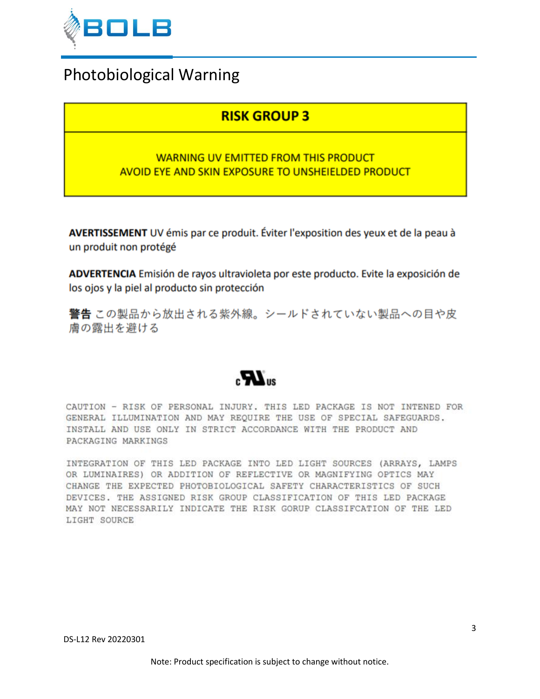

## Photobiological Warning

## **RISK GROUP 3**

## **WARNING UV EMITTED FROM THIS PRODUCT** AVOID EYE AND SKIN EXPOSURE TO UNSHEIELDED PRODUCT

AVERTISSEMENT UV émis par ce produit. Éviter l'exposition des yeux et de la peau à un produit non protégé

ADVERTENCIA Emisión de rayos ultravioleta por este producto. Evite la exposición de los ojos y la piel al producto sin protección

警告この製品から放出される紫外線。シールドされていない製品への目や皮 膚の露出を避ける

# $\boldsymbol{M}$

CAUTION - RISK OF PERSONAL INJURY, THIS LED PACKAGE IS NOT INTENED FOR GENERAL ILLUMINATION AND MAY REQUIRE THE USE OF SPECIAL SAFEGUARDS. INSTALL AND USE ONLY IN STRICT ACCORDANCE WITH THE PRODUCT AND PACKAGING MARKINGS

INTEGRATION OF THIS LED PACKAGE INTO LED LIGHT SOURCES (ARRAYS, LAMPS OR LUMINAIRES) OR ADDITION OF REFLECTIVE OR MAGNIFYING OPTICS MAY CHANGE THE EXPECTED PHOTOBIOLOGICAL SAFETY CHARACTERISTICS OF SUCH DEVICES. THE ASSIGNED RISK GROUP CLASSIFICATION OF THIS LED PACKAGE MAY NOT NECESSARILY INDICATE THE RISK GORUP CLASSIFCATION OF THE LED LIGHT SOURCE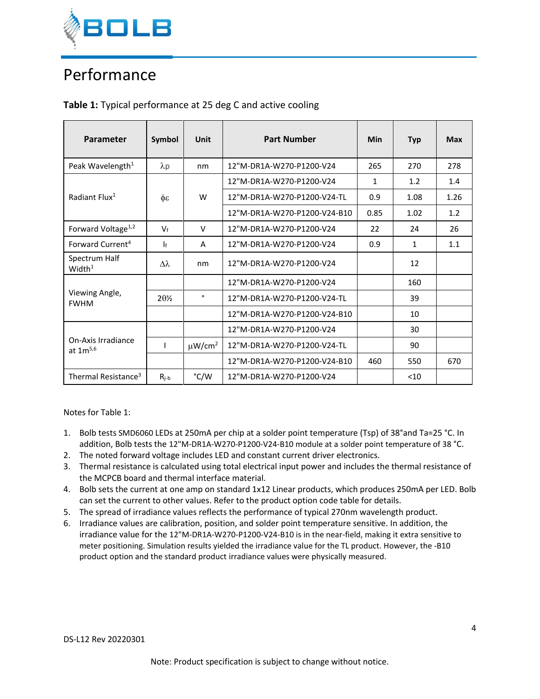

# Performance

|  | Table 1: Typical performance at 25 deg C and active cooling |  |  |
|--|-------------------------------------------------------------|--|--|
|--|-------------------------------------------------------------|--|--|

| Parameter                           | Symbol       | Unit                    | <b>Part Number</b>                 | Min  | <b>Typ</b> | <b>Max</b> |
|-------------------------------------|--------------|-------------------------|------------------------------------|------|------------|------------|
| Peak Wavelength <sup>1</sup>        | $\lambda p$  | nm                      | 12"M-DR1A-W270-P1200-V24           | 265  | 270        | 278        |
|                                     |              |                         | 12"M-DR1A-W270-P1200-V24           | 1    | 1.2        | 1.4        |
| Radiant Flux <sup>1</sup>           | φε           | W                       | 12"M-DR1A-W270-P1200-V24-TL<br>0.9 |      | 1.08       | 1.26       |
|                                     |              |                         | 12"M-DR1A-W270-P1200-V24-B10       | 0.85 | 1.02       | 1.2        |
| Forward Voltage <sup>1,2</sup>      | $V_f$        | V                       | 12"M-DR1A-W270-P1200-V24           | 22   | 24         | 26         |
| Forward Current <sup>4</sup>        | $\mathbf{r}$ | A                       | 12"M-DR1A-W270-P1200-V24           | 0.9  | 1          | 1.1        |
| Spectrum Half<br>Width <sup>1</sup> | Δλ           | nm                      | 12"M-DR1A-W270-P1200-V24           |      | 12         |            |
|                                     |              |                         | 12"M-DR1A-W270-P1200-V24           |      | 160        |            |
| Viewing Angle,<br><b>FWHM</b>       | $20\%$       | $\mathbf{o}$            | 12"M-DR1A-W270-P1200-V24-TL        |      | 39         |            |
|                                     |              |                         | 12"M-DR1A-W270-P1200-V24-B10       |      | 10         |            |
|                                     |              |                         | 12"M-DR1A-W270-P1200-V24           |      | 30         |            |
| On-Axis Irradiance<br>at $1m^{5,6}$ | $\mathbf{I}$ | $\mu$ W/cm <sup>2</sup> | 12"M-DR1A-W270-P1200-V24-TL        |      | 90         |            |
|                                     |              |                         | 12"M-DR1A-W270-P1200-V24-B10       | 460  | 550        | 670        |
| Thermal Resistance <sup>3</sup>     | $R_{j-b}$    | °C/W                    | 12"M-DR1A-W270-P1200-V24           |      | $<$ 10     |            |

Notes for Table 1:

- 1. Bolb tests SMD6060 LEDs at 250mA per chip at a solder point temperature (Tsp) of 38°and Ta=25 °C. In addition, Bolb tests the 12"M-DR1A-W270-P1200-V24-B10 module at a solder point temperature of 38 °C.
- 2. The noted forward voltage includes LED and constant current driver electronics.
- 3. Thermal resistance is calculated using total electrical input power and includes the thermal resistance of the MCPCB board and thermal interface material.
- 4. Bolb sets the current at one amp on standard 1x12 Linear products, which produces 250mA per LED. Bolb can set the current to other values. Refer to the product option code table for details.
- 5. The spread of irradiance values reflects the performance of typical 270nm wavelength product.
- 6. Irradiance values are calibration, position, and solder point temperature sensitive. In addition, the irradiance value for the 12"M-DR1A-W270-P1200-V24-B10 is in the near-field, making it extra sensitive to meter positioning. Simulation results yielded the irradiance value for the TL product. However, the -B10 product option and the standard product irradiance values were physically measured.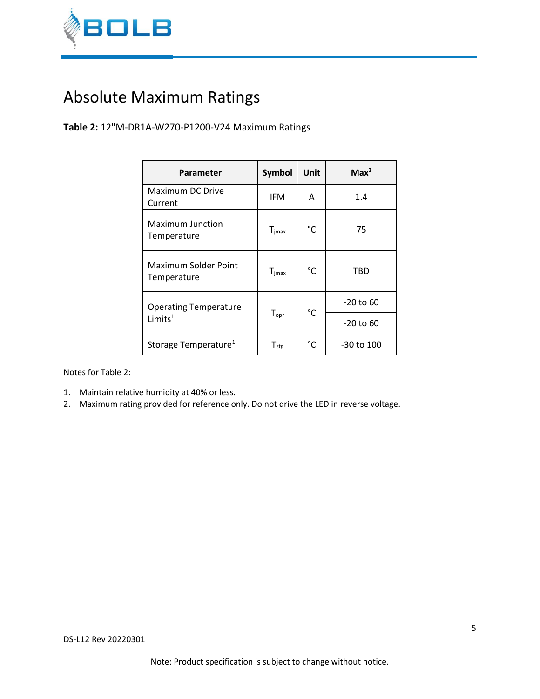

# Absolute Maximum Ratings

**Table 2:** 12"M-DR1A-W270-P1200-V24 Maximum Ratings

| Parameter                           | <b>Symbol</b>              | Unit         | Max <sup>2</sup> |
|-------------------------------------|----------------------------|--------------|------------------|
| Maximum DC Drive<br>Current         | <b>IFM</b>                 | A            | 1.4              |
| Maximum Junction<br>Temperature     | $T_{\text{jmax}}$          | $^{\circ}$ C | 75               |
| Maximum Solder Point<br>Temperature | $T_{\text{imax}}$          | $^{\circ}$ C | <b>TBD</b>       |
| <b>Operating Temperature</b>        | $T_{\mathsf{opr}}$         | $^{\circ}$ C | $-20$ to $60$    |
| Limits <sup>1</sup>                 |                            |              | -20 to 60        |
| Storage Temperature <sup>1</sup>    | ${\mathsf T}_{\text{stg}}$ | °C           | -30 to 100       |

Notes for Table 2:

- 1. Maintain relative humidity at 40% or less.
- 2. Maximum rating provided for reference only. Do not drive the LED in reverse voltage.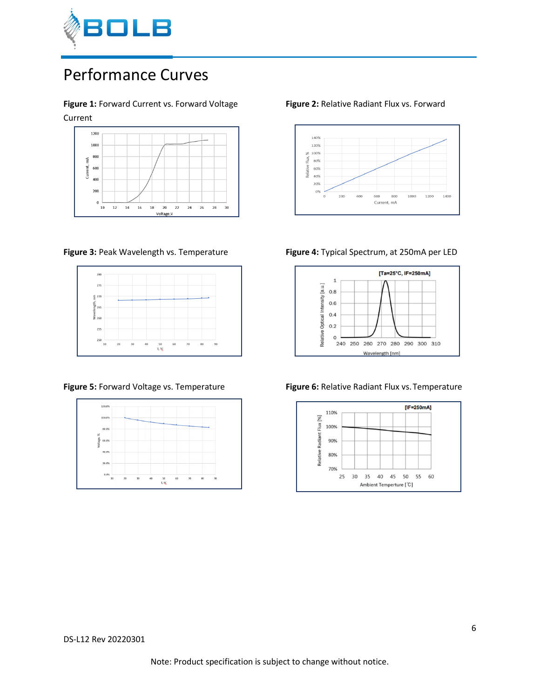

## Performance Curves

**Figure 1:** Forward Current vs. Forward Voltage **Figure 2:** Relative Radiant Flux vs. Forward Current









**Figure 3:** Peak Wavelength vs. Temperature **Figure 4:** Typical Spectrum, at 250mA per LED





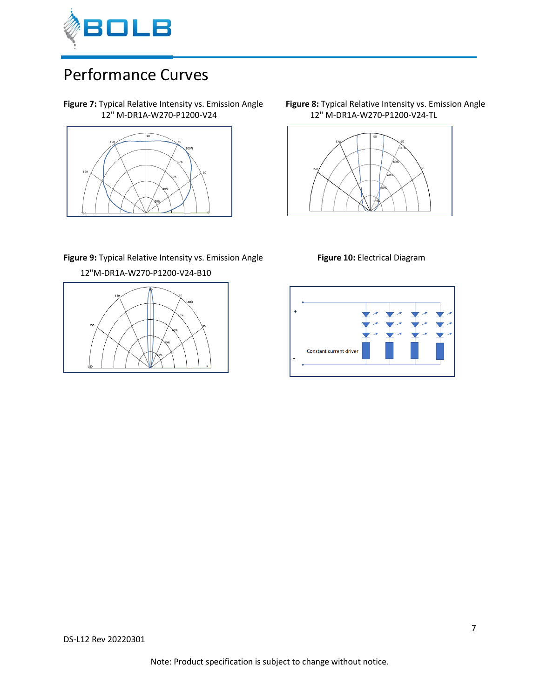

# Performance Curves

12" M-DR1A-W270-P1200-V24 12" M-DR1A-W270-P1200-V24-TL



**Figure 7:** Typical Relative Intensity vs. Emission Angle **Figure 8:** Typical Relative Intensity vs. Emission Angle



## **Figure 9:** Typical Relative Intensity vs. Emission Angle **Figure 10:** Electrical Diagram

 12"M-DR1A-W270-P1200-V24-B10 I

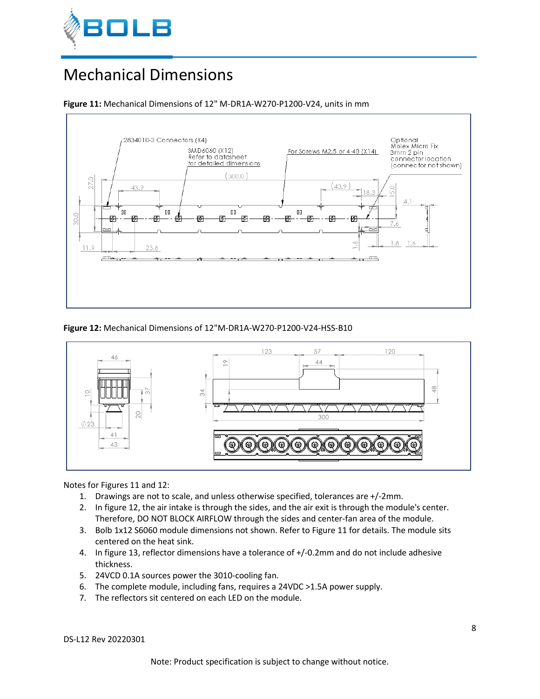

# Mechanical Dimensions

### **Figure 11:** Mechanical Dimensions of 12" M-DR1A-W270-P1200-V24, units in mm



### **Figure 12:** Mechanical Dimensions of 12"M-DR1A-W270-P1200-V24-HSS-B10



Notes for Figures 11 and 12:

- 1. Drawings are not to scale, and unless otherwise specified, tolerances are +/-2mm.
- 2. In figure 12, the air intake is through the sides, and the air exit is through the module's center. Therefore, DO NOT BLOCK AIRFLOW through the sides and center-fan area of the module.
- 3. Bolb 1x12 S6060 module dimensions not shown. Refer to Figure 11 for details. The module sits centered on the heat sink.
- 4. In figure 13, reflector dimensions have a tolerance of +/-0.2mm and do not include adhesive thickness.
- 5. 24VCD 0.1A sources power the 3010-cooling fan.
- 6. The complete module, including fans, requires a 24VDC >1.5A power supply.
- 7. The reflectors sit centered on each LED on the module.

DS-L12 Rev 20220301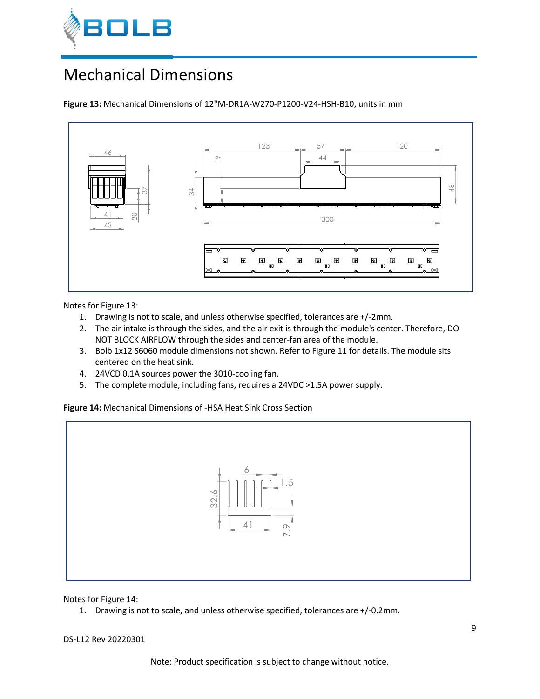

# Mechanical Dimensions





Notes for Figure 13:

- 1. Drawing is not to scale, and unless otherwise specified, tolerances are +/-2mm.
- 2. The air intake is through the sides, and the air exit is through the module's center. Therefore, DO NOT BLOCK AIRFLOW through the sides and center-fan area of the module.
- 3. Bolb 1x12 S6060 module dimensions not shown. Refer to Figure 11 for details. The module sits centered on the heat sink.
- 4. 24VCD 0.1A sources power the 3010-cooling fan.
- 5. The complete module, including fans, requires a 24VDC >1.5A power supply.

**Figure 14:** Mechanical Dimensions of -HSA Heat Sink Cross Section



Notes for Figure 14:

1. Drawing is not to scale, and unless otherwise specified, tolerances are +/-0.2mm.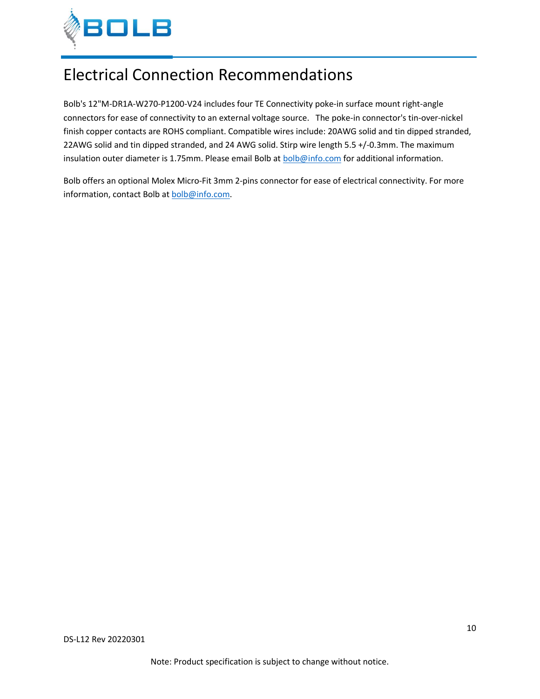

# Electrical Connection Recommendations

Bolb's 12"M-DR1A-W270-P1200-V24 includes four TE Connectivity poke-in surface mount right-angle connectors for ease of connectivity to an external voltage source. The poke-in connector's tin-over-nickel finish copper contacts are ROHS compliant. Compatible wires include: 20AWG solid and tin dipped stranded, 22AWG solid and tin dipped stranded, and 24 AWG solid. Stirp wire length 5.5 +/-0.3mm. The maximum insulation outer diameter is 1.75mm. Please email Bolb at **bolb@info.com** for additional information.

Bolb offers an optional Molex Micro-Fit 3mm 2-pins connector for ease of electrical connectivity. For more information, contact Bolb a[t bolb@info.com.](mailto:bolb@info.com)